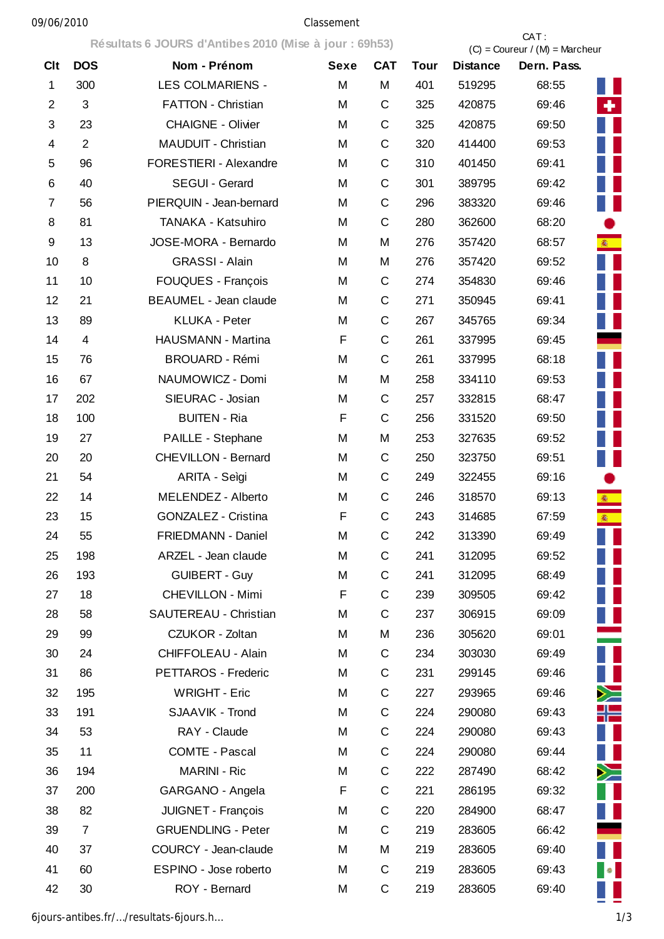## 09/06/2010 Classement

|                |                         | Résultats 6 JOURS d'Antibes 2010 (Mise à jour : 69h53) |             |              |             | CAT:<br>$(C) =$ Coureur / $(M) =$ Marcheur |             |                |  |
|----------------|-------------------------|--------------------------------------------------------|-------------|--------------|-------------|--------------------------------------------|-------------|----------------|--|
| <b>Clt</b>     | <b>DOS</b>              | Nom - Prénom                                           | <b>Sexe</b> | <b>CAT</b>   | <b>Tour</b> | <b>Distance</b>                            | Dern. Pass. |                |  |
| $\mathbf 1$    | 300                     | <b>LES COLMARIENS -</b>                                | M           | M            | 401         | 519295                                     | 68:55       |                |  |
| $\overline{2}$ | 3                       | <b>FATTON - Christian</b>                              | M           | C            | 325         | 420875                                     | 69:46       | ٠              |  |
| 3              | 23                      | <b>CHAIGNE - Olivier</b>                               | M           | C            | 325         | 420875                                     | 69:50       |                |  |
| 4              | $\overline{2}$          | <b>MAUDUIT - Christian</b>                             | M           | $\mathsf C$  | 320         | 414400                                     | 69:53       |                |  |
| 5              | 96                      | FORESTIERI - Alexandre                                 | M           | $\mathsf C$  | 310         | 401450                                     | 69:41       |                |  |
| 6              | 40                      | SEGUI - Gerard                                         | M           | $\mathsf C$  | 301         | 389795                                     | 69:42       |                |  |
| 7              | 56                      | PIERQUIN - Jean-bernard                                | M           | $\mathsf C$  | 296         | 383320                                     | 69:46       |                |  |
| 8              | 81                      | TANAKA - Katsuhiro                                     | M           | $\mathsf C$  | 280         | 362600                                     | 68:20       |                |  |
| 9              | 13                      | JOSE-MORA - Bernardo                                   | M           | M            | 276         | 357420                                     | 68:57       | <b>徽</b>       |  |
| 10             | 8                       | <b>GRASSI - Alain</b>                                  | M           | M            | 276         | 357420                                     | 69:52       |                |  |
| 11             | 10                      | FOUQUES - François                                     | M           | $\mathsf C$  | 274         | 354830                                     | 69:46       |                |  |
| 12             | 21                      | <b>BEAUMEL - Jean claude</b>                           | M           | $\mathsf C$  | 271         | 350945                                     | 69:41       |                |  |
| 13             | 89                      | <b>KLUKA - Peter</b>                                   | M           | $\mathsf C$  | 267         | 345765                                     | 69:34       |                |  |
| 14             | $\overline{\mathbf{4}}$ | HAUSMANN - Martina                                     | F           | $\mathsf C$  | 261         | 337995                                     | 69:45       |                |  |
| 15             | 76                      | <b>BROUARD - Rémi</b>                                  | M           | C            | 261         | 337995                                     | 68:18       |                |  |
| 16             | 67                      | NAUMOWICZ - Domi                                       | M           | M            | 258         | 334110                                     | 69:53       |                |  |
| 17             | 202                     | SIEURAC - Josian                                       | M           | $\mathsf C$  | 257         | 332815                                     | 68:47       |                |  |
| 18             | 100                     | <b>BUITEN - Ria</b>                                    | F           | C            | 256         | 331520                                     | 69:50       |                |  |
| 19             | 27                      | PAILLE - Stephane                                      | M           | M            | 253         | 327635                                     | 69:52       |                |  |
| 20             | 20                      | <b>CHEVILLON - Bernard</b>                             | M           | C            | 250         | 323750                                     | 69:51       |                |  |
| 21             | 54                      | ARITA - Seìgi                                          | M           | $\mathsf{C}$ | 249         | 322455                                     | 69:16       |                |  |
| 22             | 14                      | MELENDEZ - Alberto                                     | M           | $\mathsf C$  | 246         | 318570                                     | 69:13       |                |  |
| 23             | 15                      | GONZALEZ - Cristina                                    | F           | C            | 243         | 314685                                     | 67:59       |                |  |
| 24             | 55                      | FRIEDMANN - Daniel                                     | M           | $\mathsf C$  | 242         | 313390                                     | 69:49       |                |  |
| 25             | 198                     | ARZEL - Jean claude                                    | M           | C            | 241         | 312095                                     | 69:52       |                |  |
| 26             | 193                     | <b>GUIBERT - Guy</b>                                   | M           | $\mathsf C$  | 241         | 312095                                     | 68:49       |                |  |
| 27             | 18                      | CHEVILLON - Mimi                                       | F           | $\mathsf C$  | 239         | 309505                                     | 69:42       |                |  |
| 28             | 58                      | SAUTEREAU - Christian                                  | M           | $\mathsf C$  | 237         | 306915                                     | 69:09       |                |  |
| 29             | 99                      | CZUKOR - Zoltan                                        | M           | M            | 236         | 305620                                     | 69:01       |                |  |
| 30             | 24                      | CHIFFOLEAU - Alain                                     | M           | $\mathsf C$  | 234         | 303030                                     | 69:49       | $\blacksquare$ |  |
| 31             | 86                      | PETTAROS - Frederic                                    | M           | $\mathsf C$  | 231         | 299145                                     | 69:46       |                |  |
| 32             | 195                     | <b>WRIGHT - Eric</b>                                   | M           | $\mathsf C$  | 227         | 293965                                     | 69:46       | $\geq$         |  |
| 33             | 191                     | SJAAVIK - Trond                                        | M           | $\mathsf C$  | 224         | 290080                                     | 69:43       | ╬═             |  |
| 34             | 53                      | RAY - Claude                                           | M           | $\mathsf C$  | 224         | 290080                                     | 69:43       |                |  |
| 35             | 11                      | COMTE - Pascal                                         | M           | $\mathsf C$  | 224         | 290080                                     | 69:44       |                |  |
| 36             | 194                     | <b>MARINI - Ric</b>                                    | M           | C            | 222         | 287490                                     | 68:42       | ≻              |  |
| 37             | 200                     | GARGANO - Angela                                       | F           | $\mathsf C$  | 221         | 286195                                     | 69:32       |                |  |
| 38             | 82                      | JUIGNET - François                                     | M           | $\mathsf C$  | 220         | 284900                                     | 68:47       |                |  |
| 39             | $\overline{7}$          | <b>GRUENDLING - Peter</b>                              | M           | $\mathsf C$  | 219         | 283605                                     | 66:42       |                |  |
| 40             | 37                      | COURCY - Jean-claude                                   | M           | M            | 219         | 283605                                     | 69:40       |                |  |
| 41             | 60                      | ESPINO - Jose roberto                                  | M           | $\mathsf C$  | 219         | 283605                                     | 69:43       | $\bullet$      |  |
| 42             | 30                      | ROY - Bernard                                          | M           | C            | 219         | 283605                                     | 69:40       |                |  |

6jours-antibes.fr/…/resultats-6jours.h… 1/3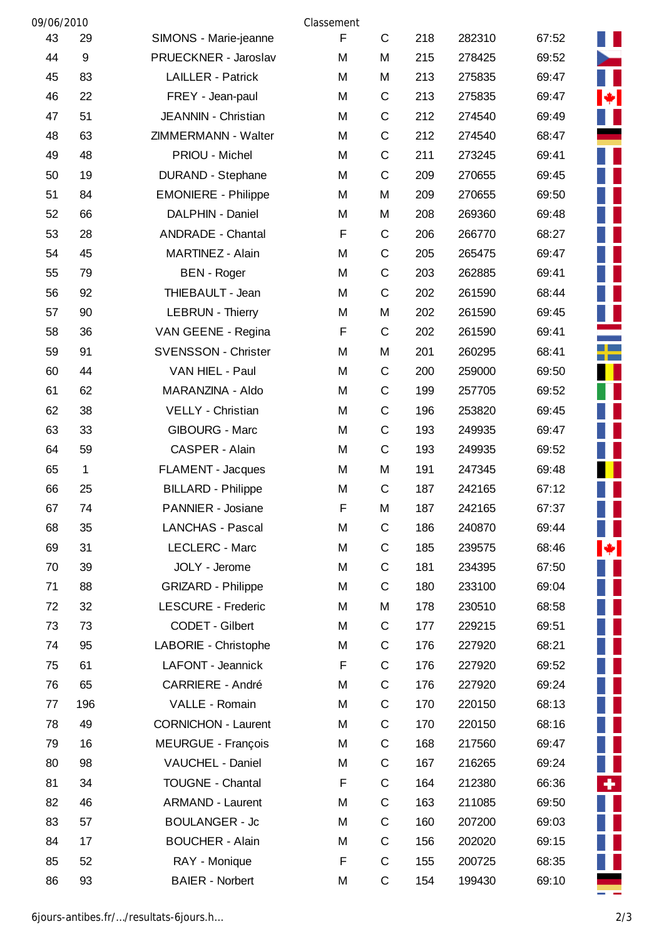| 09/06/2010 |                  |                            | Classement |              |     |        |       |                |
|------------|------------------|----------------------------|------------|--------------|-----|--------|-------|----------------|
| 43         | 29               | SIMONS - Marie-jeanne      | F          | $\mathsf{C}$ | 218 | 282310 | 67:52 | Ш              |
| 44         | $\boldsymbol{9}$ | PRUECKNER - Jaroslav       | M          | M            | 215 | 278425 | 69:52 | -              |
| 45         | 83               | <b>LAILLER - Patrick</b>   | M          | M            | 213 | 275835 | 69:47 | $\blacksquare$ |
| 46         | 22               | FREY - Jean-paul           | M          | $\mathsf C$  | 213 | 275835 | 69:47 | H.             |
| 47         | 51               | JEANNIN - Christian        | M          | $\mathsf C$  | 212 | 274540 | 69:49 | $\blacksquare$ |
| 48         | 63               | ZIMMERMANN - Walter        | M          | $\mathsf C$  | 212 | 274540 | 68:47 |                |
| 49         | 48               | PRIOU - Michel             | M          | $\mathsf C$  | 211 | 273245 | 69:41 |                |
| 50         | 19               | <b>DURAND - Stephane</b>   | M          | $\mathsf C$  | 209 | 270655 | 69:45 |                |
| 51         | 84               | <b>EMONIERE - Philippe</b> | M          | M            | 209 | 270655 | 69:50 |                |
| 52         | 66               | DALPHIN - Daniel           | M          | M            | 208 | 269360 | 69:48 |                |
| 53         | 28               | <b>ANDRADE - Chantal</b>   | F          | $\mathsf C$  | 206 | 266770 | 68:27 |                |
| 54         | 45               | MARTINEZ - Alain           | M          | $\mathsf C$  | 205 | 265475 | 69:47 |                |
| 55         | 79               | <b>BEN</b> - Roger         | M          | $\mathsf C$  | 203 | 262885 | 69:41 |                |
| 56         | 92               | THIEBAULT - Jean           | M          | $\mathsf C$  | 202 | 261590 | 68:44 |                |
| 57         | 90               | <b>LEBRUN - Thierry</b>    | M          | M            | 202 | 261590 | 69:45 |                |
| 58         | 36               | VAN GEENE - Regina         | F          | C            | 202 | 261590 | 69:41 |                |
| 59         | 91               | <b>SVENSSON - Christer</b> | M          | M            | 201 | 260295 | 68:41 | ┸              |
| 60         | 44               | VAN HIEL - Paul            | M          | C            | 200 | 259000 | 69:50 |                |
| 61         | 62               | MARANZINA - Aldo           | M          | $\mathsf C$  | 199 | 257705 | 69:52 |                |
| 62         | 38               | VELLY - Christian          | M          | $\mathsf C$  | 196 | 253820 | 69:45 |                |
| 63         | 33               | <b>GIBOURG - Marc</b>      | M          | $\mathsf C$  | 193 | 249935 | 69:47 |                |
| 64         | 59               | CASPER - Alain             | M          | $\mathsf C$  | 193 | 249935 | 69:52 |                |
| 65         | 1                | FLAMENT - Jacques          | M          | M            | 191 | 247345 | 69:48 |                |
| 66         | 25               | <b>BILLARD - Philippe</b>  | M          | $\mathsf C$  | 187 | 242165 | 67:12 |                |
| 67         | 74               | PANNIER - Josiane          | F          | M            | 187 | 242165 | 67:37 |                |
| 68         | 35               | <b>LANCHAS - Pascal</b>    | M          | C            | 186 | 240870 | 69:44 | ш              |
| 69         | 31               | LECLERC - Marc             | M          | $\mathsf C$  | 185 | 239575 | 68:46 | M              |
| 70         | 39               | JOLY - Jerome              | M          | C            | 181 | 234395 | 67:50 | ▌▐             |
| 71         | 88               | <b>GRIZARD - Philippe</b>  | M          | $\mathsf C$  | 180 | 233100 | 69:04 |                |
| 72         | 32               | <b>LESCURE - Frederic</b>  | M          | M            | 178 | 230510 | 68:58 | Ш              |
| 73         | 73               | CODET - Gilbert            | M          | $\mathsf C$  | 177 | 229215 | 69:51 |                |
| 74         | 95               | LABORIE - Christophe       | M          | C            | 176 | 227920 | 68:21 | П              |
| 75         | 61               | LAFONT - Jeannick          | F          | $\mathsf C$  | 176 | 227920 | 69:52 |                |
| 76         | 65               | CARRIERE - André           | M          | $\mathsf C$  | 176 | 227920 | 69:24 |                |
| 77         | 196              | VALLE - Romain             | M          | $\mathsf C$  | 170 | 220150 | 68:13 |                |
| 78         | 49               | <b>CORNICHON - Laurent</b> | M          | $\mathsf C$  | 170 | 220150 | 68:16 |                |
| 79         | 16               | <b>MEURGUE - François</b>  | M          | $\mathsf C$  | 168 | 217560 | 69:47 | $\blacksquare$ |
| 80         | 98               | VAUCHEL - Daniel           | M          | $\mathsf C$  | 167 | 216265 | 69:24 | Ш              |
| 81         | 34               | <b>TOUGNE - Chantal</b>    | F          | C            | 164 | 212380 | 66:36 | ÷.             |
| 82         | 46               | <b>ARMAND - Laurent</b>    | M          | $\mathsf C$  | 163 | 211085 | 69:50 |                |
| 83         | 57               | <b>BOULANGER - Jc</b>      | M          | $\mathsf C$  | 160 | 207200 | 69:03 |                |
| 84         | 17               | <b>BOUCHER - Alain</b>     | M          | $\mathsf C$  | 156 | 202020 | 69:15 |                |
| 85         | 52               | RAY - Monique              | F          | $\mathsf C$  | 155 | 200725 | 68:35 |                |
| 86         | 93               | <b>BAIER - Norbert</b>     | M          | $\mathsf C$  | 154 | 199430 | 69:10 |                |

6jours-antibes.fr/…/resultats-6jours.h… 2/3

E

Ī